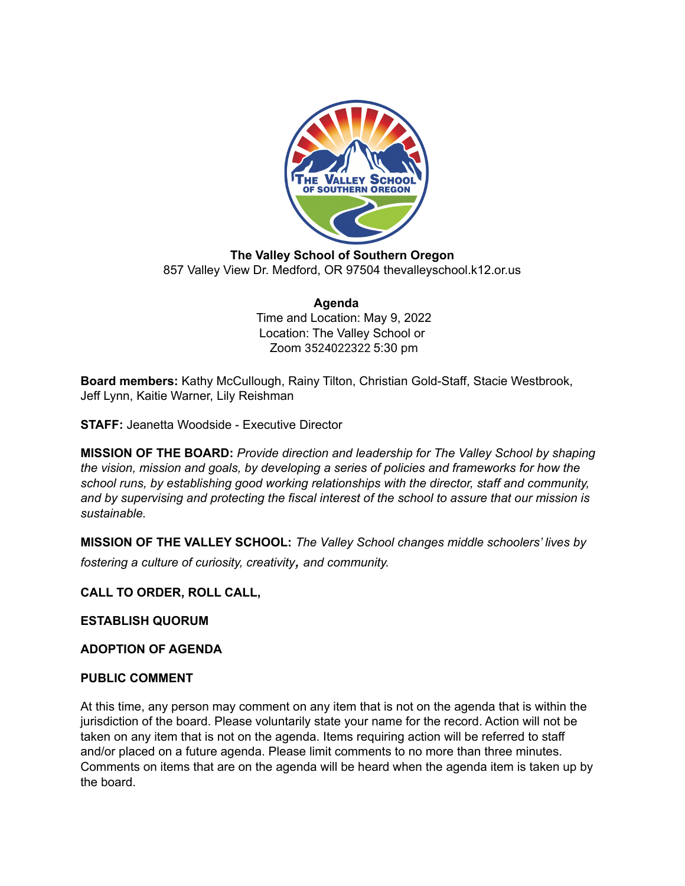

**The Valley School of Southern Oregon** 857 Valley View Dr. Medford, OR 97504 thevalleyschool.k12.or.us

#### **Agenda** Time and Location: May 9, 2022 Location: The Valley School or Zoom 3524022322 5:30 pm

**Board members:** Kathy McCullough, Rainy Tilton, Christian Gold-Staff, Stacie Westbrook, Jeff Lynn, Kaitie Warner, Lily Reishman

**STAFF:** Jeanetta Woodside - Executive Director

**MISSION OF THE BOARD:** *Provide direction and leadership for The Valley School by shaping the vision, mission and goals, by developing a series of policies and frameworks for how the school runs, by establishing good working relationships with the director, staff and community, and by supervising and protecting the fiscal interest of the school to assure that our mission is sustainable.*

**MISSION OF THE VALLEY SCHOOL:** *The Valley School changes middle schoolers' lives by fostering <sup>a</sup> culture of curiosity, creativity, and community.*

**CALL TO ORDER, ROLL CALL,**

**ESTABLISH QUORUM**

**ADOPTION OF AGENDA**

#### **PUBLIC COMMENT**

At this time, any person may comment on any item that is not on the agenda that is within the jurisdiction of the board. Please voluntarily state your name for the record. Action will not be taken on any item that is not on the agenda. Items requiring action will be referred to staff and/or placed on a future agenda. Please limit comments to no more than three minutes. Comments on items that are on the agenda will be heard when the agenda item is taken up by the board.